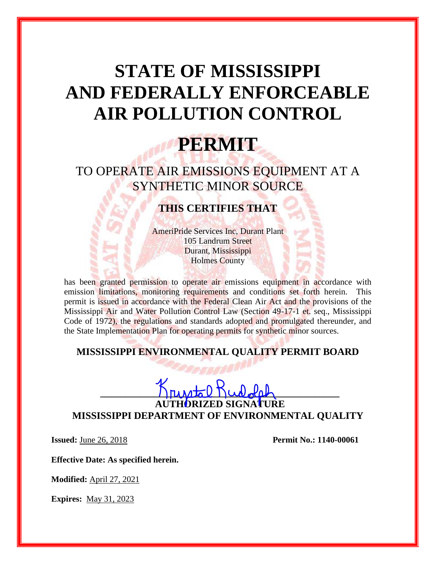# **STATE OF MISSISSIPPI AND FEDERALLY ENFORCEABLE AIR POLLUTION CONTROL**

## **PERMIT**

## TO OPERATE AIR EMISSIONS EQUIPMENT AT A SYNTHETIC MINOR SOURCE

### **THIS CERTIFIES THAT**

AmeriPride Services Inc, Durant Plant 105 Landrum Street Durant, Mississippi Holmes County

has been granted permission to operate air emissions equipment in accordance with emission limitations, monitoring requirements and conditions set forth herein. This permit is issued in accordance with the Federal Clean Air Act and the provisions of the Mississippi Air and Water Pollution Control Law (Section 49-17-1 et. seq., Mississippi Code of 1972), the regulations and standards adopted and promulgated thereunder, and the State Implementation Plan for operating permits for synthetic minor sources.

#### **MISSISSIPPI ENVIRONMENTAL QUALITY PERMIT BOARD**

# $\lim_{k\to\infty}$  rustal Dudolph

**AUTHORIZED SIGNATURE MISSISSIPPI DEPARTMENT OF ENVIRONMENTAL QUALITY**

**Issued:** June 26, 2018 **Permit No.: 1140-00061** 

**Effective Date: As specified herein.**

**Modified:** April 27, 2021

**Expires:** May 31, 2023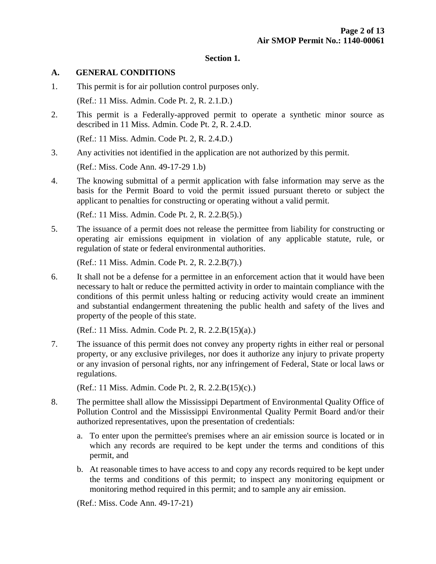#### **Section 1.**

#### **A. GENERAL CONDITIONS**

- 1. This permit is for air pollution control purposes only. (Ref.: 11 Miss. Admin. Code Pt. 2, R. 2.1.D.)
- 2. This permit is a Federally-approved permit to operate a synthetic minor source as described in 11 Miss. Admin. Code Pt. 2, R. 2.4.D.

(Ref.: 11 Miss. Admin. Code Pt. 2, R. 2.4.D.)

3. Any activities not identified in the application are not authorized by this permit.

(Ref.: Miss. Code Ann. 49-17-29 1.b)

4. The knowing submittal of a permit application with false information may serve as the basis for the Permit Board to void the permit issued pursuant thereto or subject the applicant to penalties for constructing or operating without a valid permit.

(Ref.: 11 Miss. Admin. Code Pt. 2, R. 2.2.B(5).)

5. The issuance of a permit does not release the permittee from liability for constructing or operating air emissions equipment in violation of any applicable statute, rule, or regulation of state or federal environmental authorities.

(Ref.: 11 Miss. Admin. Code Pt. 2, R. 2.2.B(7).)

6. It shall not be a defense for a permittee in an enforcement action that it would have been necessary to halt or reduce the permitted activity in order to maintain compliance with the conditions of this permit unless halting or reducing activity would create an imminent and substantial endangerment threatening the public health and safety of the lives and property of the people of this state.

(Ref.: 11 Miss. Admin. Code Pt. 2, R. 2.2.B(15)(a).)

7. The issuance of this permit does not convey any property rights in either real or personal property, or any exclusive privileges, nor does it authorize any injury to private property or any invasion of personal rights, nor any infringement of Federal, State or local laws or regulations.

(Ref.: 11 Miss. Admin. Code Pt. 2, R. 2.2.B(15)(c).)

- 8. The permittee shall allow the Mississippi Department of Environmental Quality Office of Pollution Control and the Mississippi Environmental Quality Permit Board and/or their authorized representatives, upon the presentation of credentials:
	- a. To enter upon the permittee's premises where an air emission source is located or in which any records are required to be kept under the terms and conditions of this permit, and
	- b. At reasonable times to have access to and copy any records required to be kept under the terms and conditions of this permit; to inspect any monitoring equipment or monitoring method required in this permit; and to sample any air emission.

(Ref.: Miss. Code Ann. 49-17-21)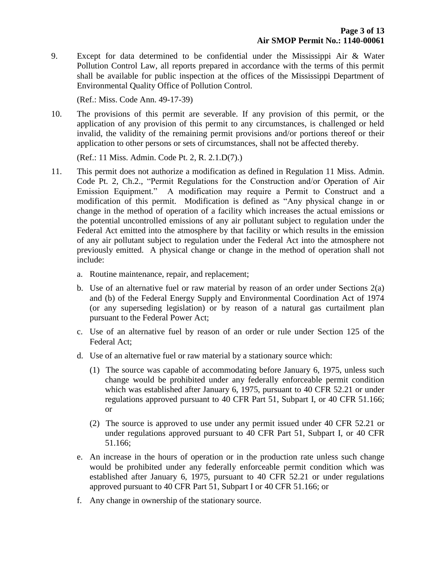9. Except for data determined to be confidential under the Mississippi Air & Water Pollution Control Law, all reports prepared in accordance with the terms of this permit shall be available for public inspection at the offices of the Mississippi Department of Environmental Quality Office of Pollution Control.

(Ref.: Miss. Code Ann. 49-17-39)

10. The provisions of this permit are severable. If any provision of this permit, or the application of any provision of this permit to any circumstances, is challenged or held invalid, the validity of the remaining permit provisions and/or portions thereof or their application to other persons or sets of circumstances, shall not be affected thereby.

(Ref.: 11 Miss. Admin. Code Pt. 2, R. 2.1.D(7).)

- 11. This permit does not authorize a modification as defined in Regulation 11 Miss. Admin. Code Pt. 2, Ch.2., "Permit Regulations for the Construction and/or Operation of Air Emission Equipment." A modification may require a Permit to Construct and a modification of this permit. Modification is defined as "Any physical change in or change in the method of operation of a facility which increases the actual emissions or the potential uncontrolled emissions of any air pollutant subject to regulation under the Federal Act emitted into the atmosphere by that facility or which results in the emission of any air pollutant subject to regulation under the Federal Act into the atmosphere not previously emitted. A physical change or change in the method of operation shall not include:
	- a. Routine maintenance, repair, and replacement;
	- b. Use of an alternative fuel or raw material by reason of an order under Sections 2(a) and (b) of the Federal Energy Supply and Environmental Coordination Act of 1974 (or any superseding legislation) or by reason of a natural gas curtailment plan pursuant to the Federal Power Act;
	- c. Use of an alternative fuel by reason of an order or rule under Section 125 of the Federal Act;
	- d. Use of an alternative fuel or raw material by a stationary source which:
		- (1) The source was capable of accommodating before January 6, 1975, unless such change would be prohibited under any federally enforceable permit condition which was established after January 6, 1975, pursuant to 40 CFR 52.21 or under regulations approved pursuant to 40 CFR Part 51, Subpart I, or 40 CFR 51.166; or
		- (2) The source is approved to use under any permit issued under 40 CFR 52.21 or under regulations approved pursuant to 40 CFR Part 51, Subpart I, or 40 CFR 51.166;
	- e. An increase in the hours of operation or in the production rate unless such change would be prohibited under any federally enforceable permit condition which was established after January 6, 1975, pursuant to 40 CFR 52.21 or under regulations approved pursuant to 40 CFR Part 51, Subpart I or 40 CFR 51.166; or
	- f. Any change in ownership of the stationary source.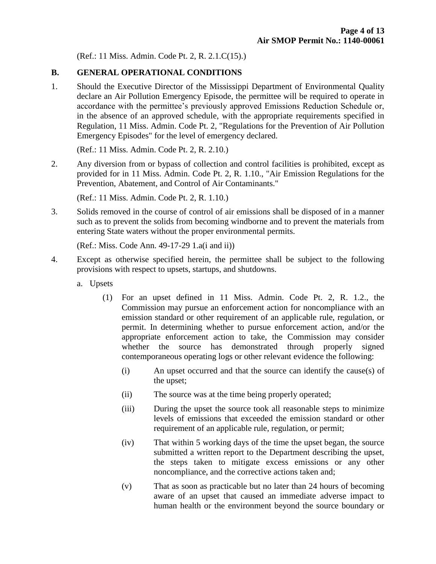(Ref.: 11 Miss. Admin. Code Pt. 2, R. 2.1.C(15).)

#### **B. GENERAL OPERATIONAL CONDITIONS**

1. Should the Executive Director of the Mississippi Department of Environmental Quality declare an Air Pollution Emergency Episode, the permittee will be required to operate in accordance with the permittee's previously approved Emissions Reduction Schedule or, in the absence of an approved schedule, with the appropriate requirements specified in Regulation, 11 Miss. Admin. Code Pt. 2, "Regulations for the Prevention of Air Pollution Emergency Episodes" for the level of emergency declared.

(Ref.: 11 Miss. Admin. Code Pt. 2, R. 2.10.)

2. Any diversion from or bypass of collection and control facilities is prohibited, except as provided for in 11 Miss. Admin. Code Pt. 2, R. 1.10., "Air Emission Regulations for the Prevention, Abatement, and Control of Air Contaminants."

(Ref.: 11 Miss. Admin. Code Pt. 2, R. 1.10.)

3. Solids removed in the course of control of air emissions shall be disposed of in a manner such as to prevent the solids from becoming windborne and to prevent the materials from entering State waters without the proper environmental permits.

(Ref.: Miss. Code Ann. 49-17-29 1.a(i and ii))

- 4. Except as otherwise specified herein, the permittee shall be subject to the following provisions with respect to upsets, startups, and shutdowns.
	- a. Upsets
		- (1) For an upset defined in 11 Miss. Admin. Code Pt. 2, R. 1.2., the Commission may pursue an enforcement action for noncompliance with an emission standard or other requirement of an applicable rule, regulation, or permit. In determining whether to pursue enforcement action, and/or the appropriate enforcement action to take, the Commission may consider whether the source has demonstrated through properly signed contemporaneous operating logs or other relevant evidence the following:
			- (i) An upset occurred and that the source can identify the cause(s) of the upset;
			- (ii) The source was at the time being properly operated;
			- (iii) During the upset the source took all reasonable steps to minimize levels of emissions that exceeded the emission standard or other requirement of an applicable rule, regulation, or permit;
			- (iv) That within 5 working days of the time the upset began, the source submitted a written report to the Department describing the upset, the steps taken to mitigate excess emissions or any other noncompliance, and the corrective actions taken and;
			- (v) That as soon as practicable but no later than 24 hours of becoming aware of an upset that caused an immediate adverse impact to human health or the environment beyond the source boundary or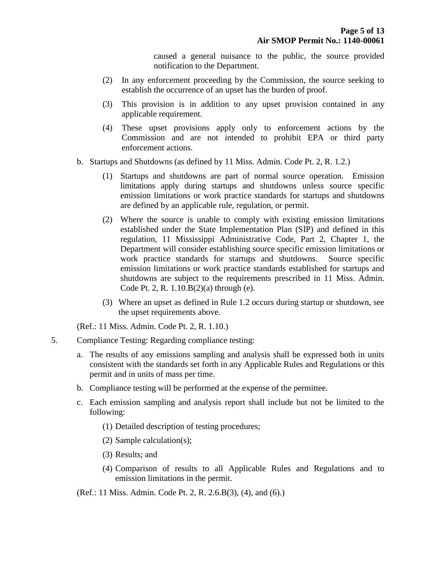caused a general nuisance to the public, the source provided notification to the Department.

- (2) In any enforcement proceeding by the Commission, the source seeking to establish the occurrence of an upset has the burden of proof.
- (3) This provision is in addition to any upset provision contained in any applicable requirement.
- (4) These upset provisions apply only to enforcement actions by the Commission and are not intended to prohibit EPA or third party enforcement actions.
- b. Startups and Shutdowns (as defined by 11 Miss. Admin. Code Pt. 2, R. 1.2.)
	- (1) Startups and shutdowns are part of normal source operation. Emission limitations apply during startups and shutdowns unless source specific emission limitations or work practice standards for startups and shutdowns are defined by an applicable rule, regulation, or permit.
	- (2) Where the source is unable to comply with existing emission limitations established under the State Implementation Plan (SIP) and defined in this regulation, 11 Mississippi Administrative Code, Part 2, Chapter 1, the Department will consider establishing source specific emission limitations or work practice standards for startups and shutdowns. Source specific emission limitations or work practice standards established for startups and shutdowns are subject to the requirements prescribed in 11 Miss. Admin. Code Pt. 2, R. 1.10.B(2)(a) through (e).
	- (3) Where an upset as defined in Rule 1.2 occurs during startup or shutdown, see the upset requirements above.

(Ref.: 11 Miss. Admin. Code Pt. 2, R. 1.10.)

- 5. Compliance Testing: Regarding compliance testing:
	- a. The results of any emissions sampling and analysis shall be expressed both in units consistent with the standards set forth in any Applicable Rules and Regulations or this permit and in units of mass per time.
	- b. Compliance testing will be performed at the expense of the permittee.
	- c. Each emission sampling and analysis report shall include but not be limited to the following:
		- (1) Detailed description of testing procedures;
		- (2) Sample calculation(s);
		- (3) Results; and
		- (4) Comparison of results to all Applicable Rules and Regulations and to emission limitations in the permit.

(Ref.: 11 Miss. Admin. Code Pt. 2, R. 2.6.B(3), (4), and (6).)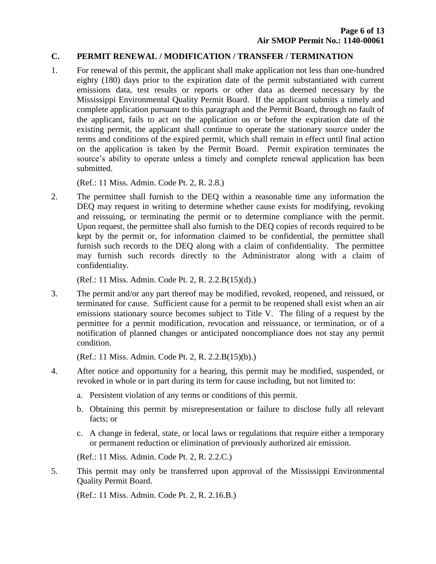#### **C. PERMIT RENEWAL / MODIFICATION / TRANSFER / TERMINATION**

1. For renewal of this permit, the applicant shall make application not less than one-hundred eighty (180) days prior to the expiration date of the permit substantiated with current emissions data, test results or reports or other data as deemed necessary by the Mississippi Environmental Quality Permit Board. If the applicant submits a timely and complete application pursuant to this paragraph and the Permit Board, through no fault of the applicant, fails to act on the application on or before the expiration date of the existing permit, the applicant shall continue to operate the stationary source under the terms and conditions of the expired permit, which shall remain in effect until final action on the application is taken by the Permit Board. Permit expiration terminates the source's ability to operate unless a timely and complete renewal application has been submitted.

(Ref.: 11 Miss. Admin. Code Pt. 2, R. 2.8.)

2. The permittee shall furnish to the DEQ within a reasonable time any information the DEQ may request in writing to determine whether cause exists for modifying, revoking and reissuing, or terminating the permit or to determine compliance with the permit. Upon request, the permittee shall also furnish to the DEQ copies of records required to be kept by the permit or, for information claimed to be confidential, the permittee shall furnish such records to the DEQ along with a claim of confidentiality. The permittee may furnish such records directly to the Administrator along with a claim of confidentiality.

(Ref.: 11 Miss. Admin. Code Pt. 2, R. 2.2.B(15)(d).)

3. The permit and/or any part thereof may be modified, revoked, reopened, and reissued, or terminated for cause. Sufficient cause for a permit to be reopened shall exist when an air emissions stationary source becomes subject to Title V. The filing of a request by the permittee for a permit modification, revocation and reissuance, or termination, or of a notification of planned changes or anticipated noncompliance does not stay any permit condition.

(Ref.: 11 Miss. Admin. Code Pt. 2, R. 2.2.B(15)(b).)

- 4. After notice and opportunity for a hearing, this permit may be modified, suspended, or revoked in whole or in part during its term for cause including, but not limited to:
	- a. Persistent violation of any terms or conditions of this permit.
	- b. Obtaining this permit by misrepresentation or failure to disclose fully all relevant facts; or
	- c. A change in federal, state, or local laws or regulations that require either a temporary or permanent reduction or elimination of previously authorized air emission.

(Ref.: 11 Miss. Admin. Code Pt. 2, R. 2.2.C.)

5. This permit may only be transferred upon approval of the Mississippi Environmental Quality Permit Board.

(Ref.: 11 Miss. Admin. Code Pt. 2, R. 2.16.B.)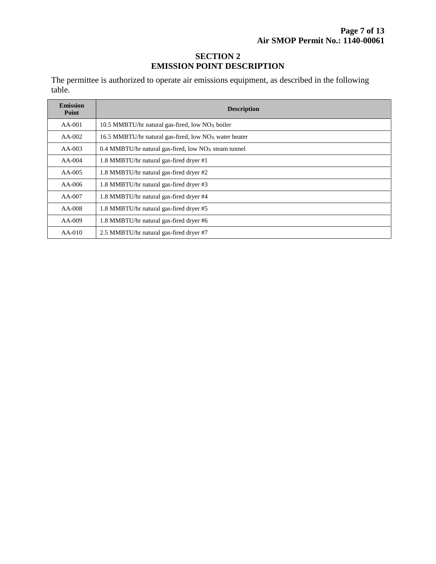#### **SECTION 2 EMISSION POINT DESCRIPTION**

The permittee is authorized to operate air emissions equipment, as described in the following table.

| <b>Emission</b><br>Point | <b>Description</b>                                                 |  |
|--------------------------|--------------------------------------------------------------------|--|
| $AA-001$                 | 10.5 MMBTU/hr natural gas-fired, low $NOX$ boiler                  |  |
| $AA-002$                 | 16.5 MMBTU/hr natural gas-fired, low $NOX$ water heater            |  |
| $AA-003$                 | $0.4$ MMBTU/hr natural gas-fired, low NO <sub>X</sub> steam tunnel |  |
| $AA-004$                 | 1.8 MMBTU/hr natural gas-fired dryer #1                            |  |
| $AA-005$                 | 1.8 MMBTU/hr natural gas-fired dryer #2                            |  |
| $AA-006$                 | 1.8 MMBTU/hr natural gas-fired dryer #3                            |  |
| $AA-007$                 | 1.8 MMBTU/hr natural gas-fired dryer #4                            |  |
| $AA-008$                 | 1.8 MMBTU/hr natural gas-fired dryer #5                            |  |
| $AA-009$                 | 1.8 MMBTU/hr natural gas-fired dryer #6                            |  |
| $AA-010$                 | 2.5 MMBTU/hr natural gas-fired dryer #7                            |  |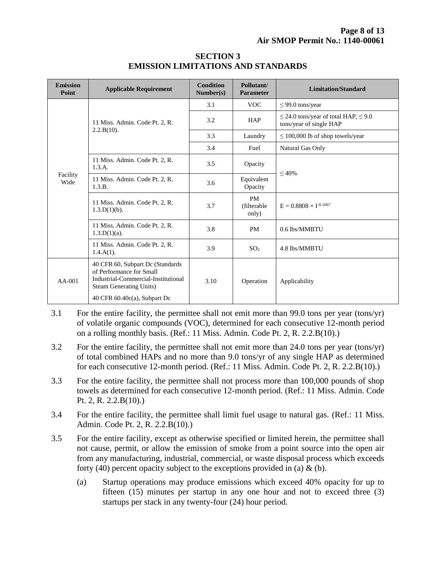| <b>Emission</b><br>Point | <b>Applicable Requirement</b>                                                                                                          | <b>Condition</b><br>Number(s) | Pollutant/<br><b>Parameter</b> | <b>Limitation/Standard</b>                                                |
|--------------------------|----------------------------------------------------------------------------------------------------------------------------------------|-------------------------------|--------------------------------|---------------------------------------------------------------------------|
| Facility<br>Wide         | 11 Miss. Admin. Code Pt. 2, R.<br>$2.2.B(10)$ .                                                                                        | 3.1                           | <b>VOC</b>                     | $\leq$ 99.0 tons/year                                                     |
|                          |                                                                                                                                        | 3.2                           | <b>HAP</b>                     | $\leq$ 24.0 tons/year of total HAP, $\leq$ 9.0<br>tons/year of single HAP |
|                          |                                                                                                                                        | 3.3                           | Laundry                        | $\leq$ 100,000 lb of shop towels/year                                     |
|                          |                                                                                                                                        | 3.4                           | Fuel                           | Natural Gas Only                                                          |
|                          | 11 Miss. Admin. Code Pt. 2, R.<br>1.3.A.                                                                                               | 3.5                           | Opacity                        | ${}<$ 40%                                                                 |
|                          | 11 Miss. Admin. Code Pt. 2, R.<br>1.3.B.                                                                                               | 3.6                           | Equivalent<br>Opacity          |                                                                           |
|                          | 11 Miss. Admin. Code Pt. 2, R.<br>$1.3.D(1)(b)$ .                                                                                      | 3.7                           | PM<br>(filterable<br>only)     | $E = 0.8808 \times 1^{-0.1667}$                                           |
|                          | 11 Miss. Admin. Code Pt. 2, R.<br>$1.3.D(1)(a)$ .                                                                                      | 3.8                           | <b>PM</b>                      | 0.6 lbs/MMBTU                                                             |
|                          | 11 Miss. Admin. Code Pt. 2, R.<br>$1.4.A(1)$ .                                                                                         | 3.9                           | SO <sub>2</sub>                | 4.8 lbs/MMBTU                                                             |
| $AA-001$                 | 40 CFR 60, Subpart Dc (Standards)<br>of Performance for Small<br>Industrial-Commercial-Institutional<br><b>Steam Generating Units)</b> | 3.10                          | Operation                      | Applicability                                                             |
|                          | 40 CFR $60.40c(a)$ , Subpart Dc                                                                                                        |                               |                                |                                                                           |

#### **SECTION 3 EMISSION LIMITATIONS AND STANDARDS**

- 3.1 For the entire facility, the permittee shall not emit more than 99.0 tons per year (tons/yr) of volatile organic compounds (VOC), determined for each consecutive 12-month period on a rolling monthly basis. (Ref.: 11 Miss. Admin. Code Pt. 2, R. 2.2.B(10).)
- 3.2 For the entire facility, the permittee shall not emit more than 24.0 tons per year (tons/yr) of total combined HAPs and no more than 9.0 tons/yr of any single HAP as determined for each consecutive 12-month period. (Ref.: 11 Miss. Admin. Code Pt. 2, R. 2.2.B(10).)
- 3.3 For the entire facility, the permittee shall not process more than 100,000 pounds of shop towels as determined for each consecutive 12-month period. (Ref.: 11 Miss. Admin. Code Pt. 2, R. 2.2.B(10).)
- 3.4 For the entire facility, the permittee shall limit fuel usage to natural gas. (Ref.: 11 Miss. Admin. Code Pt. 2, R. 2.2.B(10).)
- 3.5 For the entire facility, except as otherwise specified or limited herein, the permittee shall not cause, permit, or allow the emission of smoke from a point source into the open air from any manufacturing, industrial, commercial, or waste disposal process which exceeds forty (40) percent opacity subject to the exceptions provided in (a)  $\&$  (b).
	- (a) Startup operations may produce emissions which exceed 40% opacity for up to fifteen (15) minutes per startup in any one hour and not to exceed three (3) startups per stack in any twenty-four (24) hour period.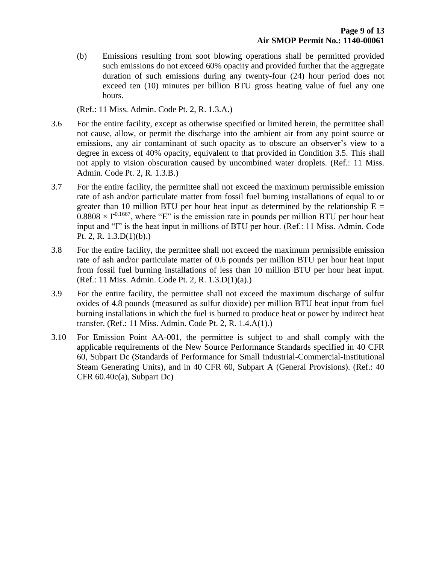(b) Emissions resulting from soot blowing operations shall be permitted provided such emissions do not exceed 60% opacity and provided further that the aggregate duration of such emissions during any twenty-four (24) hour period does not exceed ten (10) minutes per billion BTU gross heating value of fuel any one hours.

(Ref.: 11 Miss. Admin. Code Pt. 2, R. 1.3.A.)

- 3.6 For the entire facility, except as otherwise specified or limited herein, the permittee shall not cause, allow, or permit the discharge into the ambient air from any point source or emissions, any air contaminant of such opacity as to obscure an observer's view to a degree in excess of 40% opacity, equivalent to that provided in Condition 3.5. This shall not apply to vision obscuration caused by uncombined water droplets. (Ref.: 11 Miss. Admin. Code Pt. 2, R. 1.3.B.)
- 3.7 For the entire facility, the permittee shall not exceed the maximum permissible emission rate of ash and/or particulate matter from fossil fuel burning installations of equal to or greater than 10 million BTU per hour heat input as determined by the relationship  $E =$  $0.8808 \times 1^{0.1667}$ , where "E" is the emission rate in pounds per million BTU per hour heat input and "I" is the heat input in millions of BTU per hour. (Ref.: 11 Miss. Admin. Code Pt. 2, R. 1.3.D(1)(b).)
- 3.8 For the entire facility, the permittee shall not exceed the maximum permissible emission rate of ash and/or particulate matter of 0.6 pounds per million BTU per hour heat input from fossil fuel burning installations of less than 10 million BTU per hour heat input. (Ref.: 11 Miss. Admin. Code Pt. 2, R. 1.3.D(1)(a).)
- 3.9 For the entire facility, the permittee shall not exceed the maximum discharge of sulfur oxides of 4.8 pounds (measured as sulfur dioxide) per million BTU heat input from fuel burning installations in which the fuel is burned to produce heat or power by indirect heat transfer. (Ref.: 11 Miss. Admin. Code Pt. 2, R. 1.4.A(1).)
- 3.10 For Emission Point AA-001, the permittee is subject to and shall comply with the applicable requirements of the New Source Performance Standards specified in 40 CFR 60, Subpart Dc (Standards of Performance for Small Industrial-Commercial-Institutional Steam Generating Units), and in 40 CFR 60, Subpart A (General Provisions). (Ref.: 40 CFR 60.40c(a), Subpart Dc)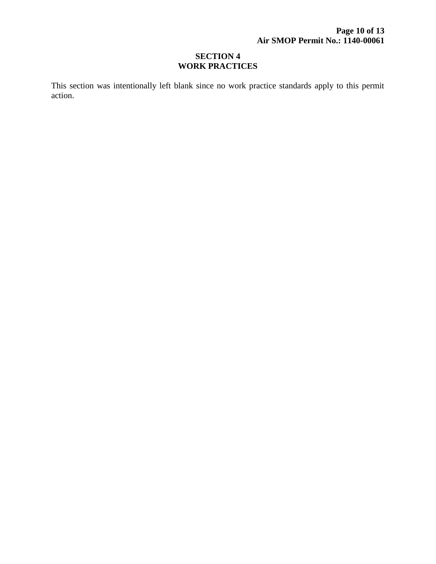#### **SECTION 4 WORK PRACTICES**

This section was intentionally left blank since no work practice standards apply to this permit action.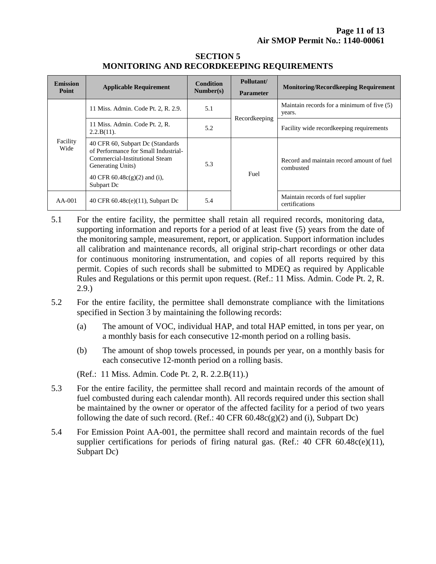| <b>Emission</b><br>Point | <b>Applicable Requirement</b>                                                                                                                                                           | Condition<br>Number(s) | Pollutant/<br><b>Parameter</b> | <b>Monitoring/Recordkeeping Requirement</b>            |
|--------------------------|-----------------------------------------------------------------------------------------------------------------------------------------------------------------------------------------|------------------------|--------------------------------|--------------------------------------------------------|
| Facility<br>Wide         | 11 Miss. Admin. Code Pt. 2, R. 2.9.                                                                                                                                                     | 5.1                    | Recordkeeping                  | Maintain records for a minimum of five (5)<br>years.   |
|                          | 11 Miss. Admin. Code Pt. 2, R.<br>$2.2.B(11)$ .                                                                                                                                         | 5.2                    |                                | Facility wide record keeping requirements              |
|                          | 40 CFR 60, Subpart Dc (Standards<br>of Performance for Small Industrial-<br>Commercial-Institutional Steam<br><b>Generating Units</b> )<br>40 CFR $60.48c(g)(2)$ and (i),<br>Subpart Dc | 5.3                    | Fuel                           | Record and maintain record amount of fuel<br>combusted |
| $AA-001$                 | 40 CFR 60.48c(e)(11), Subpart Dc                                                                                                                                                        | 5.4                    |                                | Maintain records of fuel supplier<br>certifications    |

#### **SECTION 5 MONITORING AND RECORDKEEPING REQUIREMENTS**

- 5.1 For the entire facility, the permittee shall retain all required records, monitoring data, supporting information and reports for a period of at least five (5) years from the date of the monitoring sample, measurement, report, or application. Support information includes all calibration and maintenance records, all original strip-chart recordings or other data for continuous monitoring instrumentation, and copies of all reports required by this permit. Copies of such records shall be submitted to MDEQ as required by Applicable Rules and Regulations or this permit upon request. (Ref.: 11 Miss. Admin. Code Pt. 2, R. 2.9.)
- 5.2 For the entire facility, the permittee shall demonstrate compliance with the limitations specified in Section 3 by maintaining the following records:
	- (a) The amount of VOC, individual HAP, and total HAP emitted, in tons per year, on a monthly basis for each consecutive 12-month period on a rolling basis.
	- (b) The amount of shop towels processed, in pounds per year, on a monthly basis for each consecutive 12-month period on a rolling basis.

(Ref.: 11 Miss. Admin. Code Pt. 2, R. 2.2.B(11).)

- 5.3 For the entire facility, the permittee shall record and maintain records of the amount of fuel combusted during each calendar month). All records required under this section shall be maintained by the owner or operator of the affected facility for a period of two years following the date of such record. (Ref.: 40 CFR 60.48c(g)(2) and (i), Subpart Dc)
- 5.4 For Emission Point AA-001, the permittee shall record and maintain records of the fuel supplier certifications for periods of firing natural gas. (Ref.:  $40 \text{ CFR } 60.48c(e)(11)$ , Subpart Dc)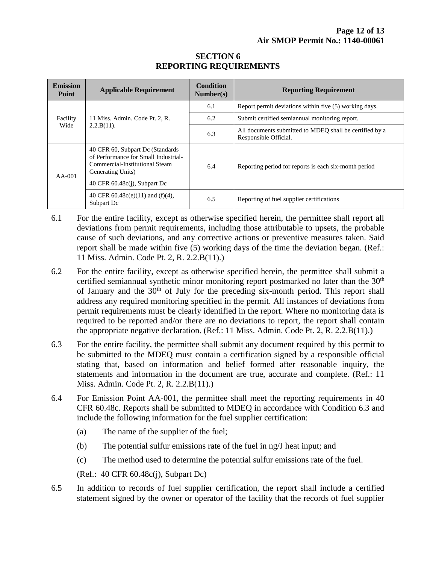| <b>Emission</b><br>Point | <b>Applicable Requirement</b>                                                                                                                                      | <b>Condition</b><br>Number(s) | <b>Reporting Requirement</b>                                                     |  |
|--------------------------|--------------------------------------------------------------------------------------------------------------------------------------------------------------------|-------------------------------|----------------------------------------------------------------------------------|--|
| Facility<br>Wide         | 11 Miss. Admin. Code Pt. 2, R.<br>$2.2.B(11)$ .                                                                                                                    | 6.1                           | Report permit deviations within five (5) working days.                           |  |
|                          |                                                                                                                                                                    | 6.2                           | Submit certified semiannual monitoring report.                                   |  |
|                          |                                                                                                                                                                    | 6.3                           | All documents submitted to MDEO shall be certified by a<br>Responsible Official. |  |
| $AA-001$                 | 40 CFR 60, Subpart Dc (Standards<br>of Performance for Small Industrial-<br>Commercial-Institutional Steam<br>Generating Units)<br>40 CFR $60.48c(i)$ , Subpart Dc | 6.4                           | Reporting period for reports is each six-month period                            |  |
|                          | 40 CFR $60.48c(e)(11)$ and $(f)(4)$ ,<br>Subpart Dc                                                                                                                | 6.5                           | Reporting of fuel supplier certifications                                        |  |

#### **SECTION 6 REPORTING REQUIREMENTS**

- 6.1 For the entire facility, except as otherwise specified herein, the permittee shall report all deviations from permit requirements, including those attributable to upsets, the probable cause of such deviations, and any corrective actions or preventive measures taken. Said report shall be made within five (5) working days of the time the deviation began. (Ref.: 11 Miss. Admin. Code Pt. 2, R. 2.2.B(11).)
- 6.2 For the entire facility, except as otherwise specified herein, the permittee shall submit a certified semiannual synthetic minor monitoring report postmarked no later than the  $30<sup>th</sup>$ of January and the  $30<sup>th</sup>$  of July for the preceding six-month period. This report shall address any required monitoring specified in the permit. All instances of deviations from permit requirements must be clearly identified in the report. Where no monitoring data is required to be reported and/or there are no deviations to report, the report shall contain the appropriate negative declaration. (Ref.: 11 Miss. Admin. Code Pt. 2, R. 2.2.B(11).)
- 6.3 For the entire facility, the permittee shall submit any document required by this permit to be submitted to the MDEQ must contain a certification signed by a responsible official stating that, based on information and belief formed after reasonable inquiry, the statements and information in the document are true, accurate and complete. (Ref.: 11 Miss. Admin. Code Pt. 2, R. 2.2.B(11).)
- 6.4 For Emission Point AA-001, the permittee shall meet the reporting requirements in 40 CFR 60.48c. Reports shall be submitted to MDEQ in accordance with Condition 6.3 and include the following information for the fuel supplier certification:
	- (a) The name of the supplier of the fuel;
	- (b) The potential sulfur emissions rate of the fuel in ng/J heat input; and
	- (c) The method used to determine the potential sulfur emissions rate of the fuel.
	- (Ref.: 40 CFR 60.48c(j), Subpart Dc)
- 6.5 In addition to records of fuel supplier certification, the report shall include a certified statement signed by the owner or operator of the facility that the records of fuel supplier